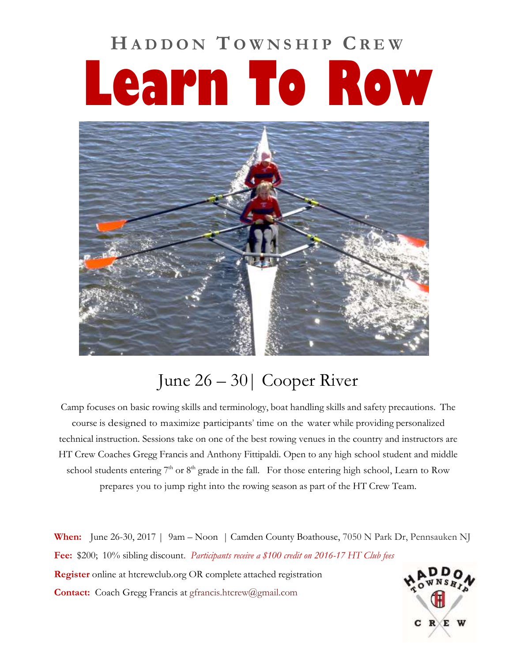## **H A D D O N T O W N S H I P C R E W Learn To Row**



## June 26 – 30| Cooper River

Camp focuses on basic rowing skills and terminology, boat handling skills and safety precautions. The course is designed to maximize participants' time on the water while providing personalized technical instruction. Sessions take on one of the best rowing venues in the country and instructors are HT Crew Coaches Gregg Francis and Anthony Fittipaldi. Open to any high school student and middle school students entering  $7<sup>th</sup>$  or  $8<sup>th</sup>$  grade in the fall. For those entering high school, Learn to Row prepares you to jump right into the rowing season as part of the HT Crew Team.

**When:** June 26-30, 2017 | 9am – Noon | Camden County Boathouse, 7050 N Park Dr, Pennsauken NJ **Fee:** \$200; 10% sibling discount. *Participants receive a \$100 credit on 2016-17 HT Club fees* **Register** online at htcrewclub.org OR complete attached registration **Contact:** Coach Gregg Francis at [gfrancis.htcrew@gmail.com](mailto:gfrancis.htcrew@gmail.com)